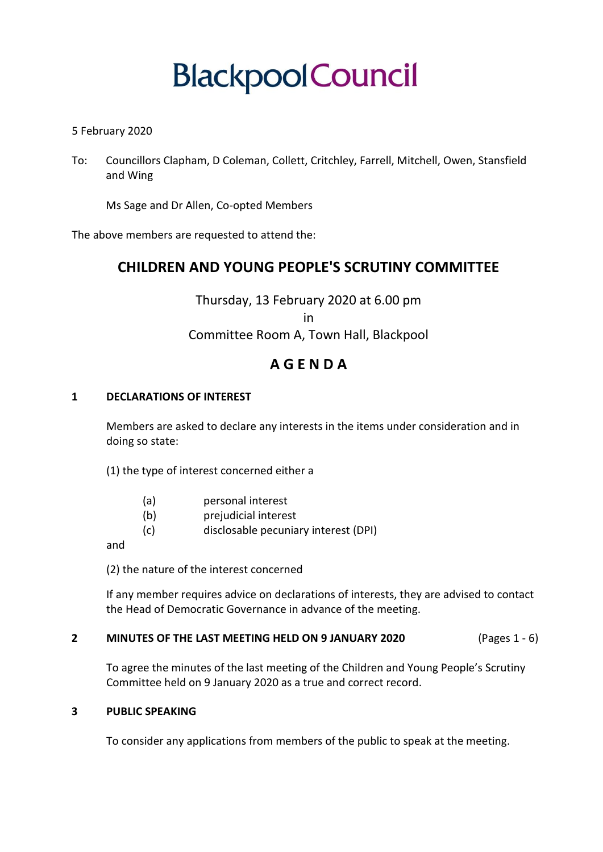# **Blackpool Council**

# 5 February 2020

To: Councillors Clapham, D Coleman, Collett, Critchley, Farrell, Mitchell, Owen, Stansfield and Wing

Ms Sage and Dr Allen, Co-opted Members

The above members are requested to attend the:

# **CHILDREN AND YOUNG PEOPLE'S SCRUTINY COMMITTEE**

Thursday, 13 February 2020 at 6.00 pm in Committee Room A, Town Hall, Blackpool

# **A G E N D A**

# **1 DECLARATIONS OF INTEREST**

Members are asked to declare any interests in the items under consideration and in doing so state:

(1) the type of interest concerned either a

- (a) personal interest
- (b) prejudicial interest
- (c) disclosable pecuniary interest (DPI)

and

(2) the nature of the interest concerned

If any member requires advice on declarations of interests, they are advised to contact the Head of Democratic Governance in advance of the meeting.

# **2 MINUTES OF THE LAST MEETING HELD ON 9 JANUARY 2020** (Pages 1 - 6)

To agree the minutes of the last meeting of the Children and Young People's Scrutiny Committee held on 9 January 2020 as a true and correct record.

#### **3 PUBLIC SPEAKING**

To consider any applications from members of the public to speak at the meeting.